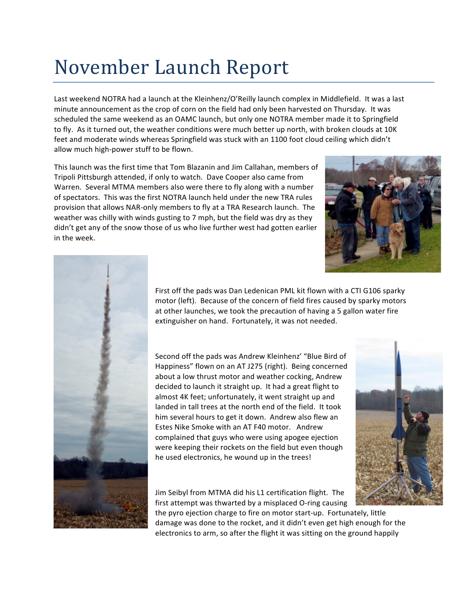## November Launch Report

Last weekend NOTRA had a launch at the Kleinhenz/O'Reilly launch complex in Middlefield. It was a last minute announcement as the crop of corn on the field had only been harvested on Thursday. It was scheduled the same weekend as an OAMC launch, but only one NOTRA member made it to Springfield to fly. As it turned out, the weather conditions were much better up north, with broken clouds at 10K feet and moderate winds whereas Springfield was stuck with an 1100 foot cloud ceiling which didn't allow much high-power stuff to be flown.

This launch was the first time that Tom Blazanin and Jim Callahan, members of Tripoli Pittsburgh attended, if only to watch. Dave Cooper also came from Warren. Several MTMA members also were there to fly along with a number of spectators. This was the first NOTRA launch held under the new TRA rules provision that allows NAR-only members to fly at a TRA Research launch. The weather was chilly with winds gusting to 7 mph, but the field was dry as they didn't get any of the snow those of us who live further west had gotten earlier in the week.





First off the pads was Dan Ledenican PML kit flown with a CTI G106 sparky motor (left). Because of the concern of field fires caused by sparky motors at other launches, we took the precaution of having a 5 gallon water fire extinguisher on hand. Fortunately, it was not needed.

Second off the pads was Andrew Kleinhenz' "Blue Bird of Happiness" flown on an AT J275 (right). Being concerned about a low thrust motor and weather cocking, Andrew decided to launch it straight up. It had a great flight to almost 4K feet; unfortunately, it went straight up and landed in tall trees at the north end of the field. It took him several hours to get it down. Andrew also flew an Estes Nike Smoke with an AT F40 motor. Andrew complained that guys who were using apogee ejection were keeping their rockets on the field but even though he used electronics, he wound up in the trees!

Jim Seibyl from MTMA did his L1 certification flight. The first attempt was thwarted by a misplaced O-ring causing

the pyro ejection charge to fire on motor start-up. Fortunately, little damage was done to the rocket, and it didn't even get high enough for the electronics to arm, so after the flight it was sitting on the ground happily